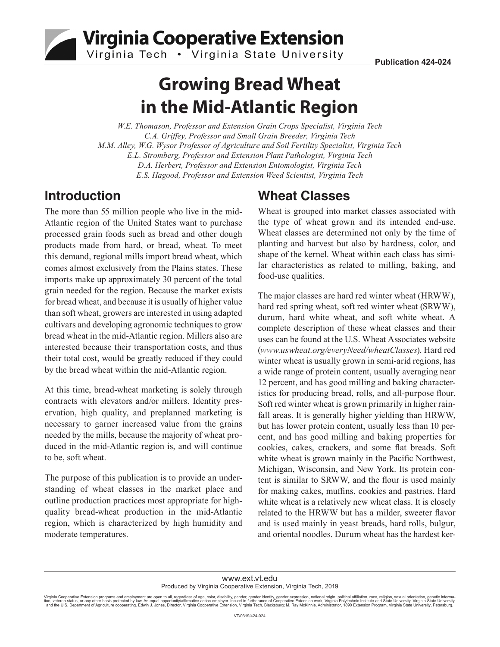

Virginia Cooperative Extension

Virginia Tech • Virginia State University

# **Growing Bread Wheat in the Mid-Atlantic Region**

*W.E. Thomason, Professor and Extension Grain Crops Specialist, Virginia Tech C.A. Griffey, Professor and Small Grain Breeder, Virginia Tech M.M. Alley, W.G. Wysor Professor of Agriculture and Soil Fertility Specialist, Virginia Tech E.L. Stromberg, Professor and Extension Plant Pathologist, Virginia Tech D.A. Herbert, Professor and Extension Entomologist, Virginia Tech E.S. Hagood, Professor and Extension Weed Scientist, Virginia Tech*

### **Introduction**

The more than 55 million people who live in the mid-Atlantic region of the United States want to purchase processed grain foods such as bread and other dough products made from hard, or bread, wheat. To meet this demand, regional mills import bread wheat, which comes almost exclusively from the Plains states. These imports make up approximately 30 percent of the total grain needed for the region. Because the market exists for bread wheat, and because it is usually of higher value than soft wheat, growers are interested in using adapted cultivars and developing agronomic techniques to grow bread wheat in the mid-Atlantic region. Millers also are interested because their transportation costs, and thus their total cost, would be greatly reduced if they could by the bread wheat within the mid-Atlantic region.

At this time, bread-wheat marketing is solely through contracts with elevators and/or millers. Identity preservation, high quality, and preplanned marketing is necessary to garner increased value from the grains needed by the mills, because the majority of wheat produced in the mid-Atlantic region is, and will continue to be, soft wheat.

The purpose of this publication is to provide an understanding of wheat classes in the market place and outline production practices most appropriate for highquality bread-wheat production in the mid-Atlantic region, which is characterized by high humidity and moderate temperatures.

## **Wheat Classes**

Wheat is grouped into market classes associated with the type of wheat grown and its intended end-use. Wheat classes are determined not only by the time of planting and harvest but also by hardness, color, and shape of the kernel. Wheat within each class has similar characteristics as related to milling, baking, and food-use qualities.

The major classes are hard red winter wheat (HRWW), hard red spring wheat, soft red winter wheat (SRWW), durum, hard white wheat, and soft white wheat. A complete description of these wheat classes and their uses can be found at the U.S. Wheat Associates website (*www.uswheat.org/everyNeed/wheatClasses*). Hard red winter wheat is usually grown in semi-arid regions, has a wide range of protein content, usually averaging near 12 percent, and has good milling and baking characteristics for producing bread, rolls, and all-purpose flour. Soft red winter wheat is grown primarily in higher rainfall areas. It is generally higher yielding than HRWW, but has lower protein content, usually less than 10 percent, and has good milling and baking properties for cookies, cakes, crackers, and some flat breads. Soft white wheat is grown mainly in the Pacific Northwest, Michigan, Wisconsin, and New York. Its protein content is similar to SRWW, and the flour is used mainly for making cakes, muffins, cookies and pastries. Hard white wheat is a relatively new wheat class. It is closely related to the HRWW but has a milder, sweeter flavor and is used mainly in yeast breads, hard rolls, bulgur, and oriental noodles. Durum wheat has the hardest ker-

www.ext.vt.edu Produced by Virginia Cooperative Extension, Virginia Tech, 2019

Virginia Cooperative Extension programs and employment are open to all, regardless of age, color, disability, gender, gender identity, gender expression, national origin, political affiliation, race, religion, sexual orien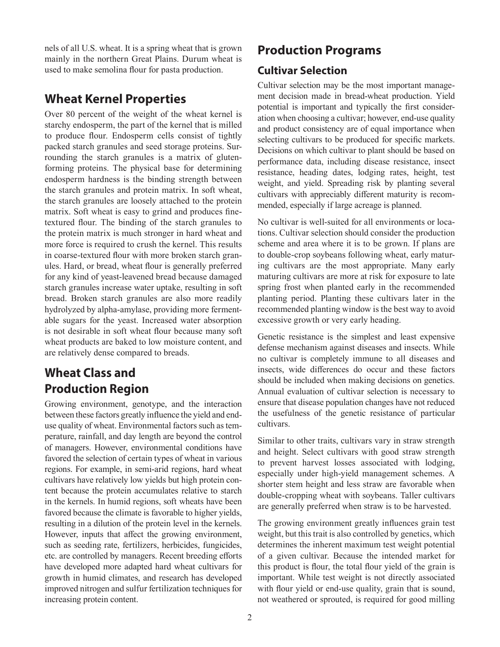nels of all U.S. wheat. It is a spring wheat that is grown mainly in the northern Great Plains. Durum wheat is used to make semolina flour for pasta production.

### **Wheat Kernel Properties**

Over 80 percent of the weight of the wheat kernel is starchy endosperm, the part of the kernel that is milled to produce flour. Endosperm cells consist of tightly packed starch granules and seed storage proteins. Surrounding the starch granules is a matrix of glutenforming proteins. The physical base for determining endosperm hardness is the binding strength between the starch granules and protein matrix. In soft wheat, the starch granules are loosely attached to the protein matrix. Soft wheat is easy to grind and produces finetextured flour. The binding of the starch granules to the protein matrix is much stronger in hard wheat and more force is required to crush the kernel. This results in coarse-textured flour with more broken starch granules. Hard, or bread, wheat flour is generally preferred for any kind of yeast-leavened bread because damaged starch granules increase water uptake, resulting in soft bread. Broken starch granules are also more readily hydrolyzed by alpha-amylase, providing more fermentable sugars for the yeast. Increased water absorption is not desirable in soft wheat flour because many soft wheat products are baked to low moisture content, and are relatively dense compared to breads.

# **Wheat Class and Production Region**

Growing environment, genotype, and the interaction between these factors greatly influence the yield and enduse quality of wheat. Environmental factors such as temperature, rainfall, and day length are beyond the control of managers. However, environmental conditions have favored the selection of certain types of wheat in various regions. For example, in semi-arid regions, hard wheat cultivars have relatively low yields but high protein content because the protein accumulates relative to starch in the kernels. In humid regions, soft wheats have been favored because the climate is favorable to higher yields, resulting in a dilution of the protein level in the kernels. However, inputs that affect the growing environment, such as seeding rate, fertilizers, herbicides, fungicides, etc. are controlled by managers. Recent breeding efforts have developed more adapted hard wheat cultivars for growth in humid climates, and research has developed improved nitrogen and sulfur fertilization techniques for increasing protein content.

### **Production Programs**

### **Cultivar Selection**

Cultivar selection may be the most important management decision made in bread-wheat production. Yield potential is important and typically the first consideration when choosing a cultivar; however, end-use quality and product consistency are of equal importance when selecting cultivars to be produced for specific markets. Decisions on which cultivar to plant should be based on performance data, including disease resistance, insect resistance, heading dates, lodging rates, height, test weight, and yield. Spreading risk by planting several cultivars with appreciably different maturity is recommended, especially if large acreage is planned.

No cultivar is well-suited for all environments or locations. Cultivar selection should consider the production scheme and area where it is to be grown. If plans are to double-crop soybeans following wheat, early maturing cultivars are the most appropriate. Many early maturing cultivars are more at risk for exposure to late spring frost when planted early in the recommended planting period. Planting these cultivars later in the recommended planting window is the best way to avoid excessive growth or very early heading.

Genetic resistance is the simplest and least expensive defense mechanism against diseases and insects. While no cultivar is completely immune to all diseases and insects, wide differences do occur and these factors should be included when making decisions on genetics. Annual evaluation of cultivar selection is necessary to ensure that disease population changes have not reduced the usefulness of the genetic resistance of particular cultivars.

Similar to other traits, cultivars vary in straw strength and height. Select cultivars with good straw strength to prevent harvest losses associated with lodging, especially under high-yield management schemes. A shorter stem height and less straw are favorable when double-cropping wheat with soybeans. Taller cultivars are generally preferred when straw is to be harvested.

The growing environment greatly influences grain test weight, but this trait is also controlled by genetics, which determines the inherent maximum test weight potential of a given cultivar. Because the intended market for this product is flour, the total flour yield of the grain is important. While test weight is not directly associated with flour yield or end-use quality, grain that is sound, not weathered or sprouted, is required for good milling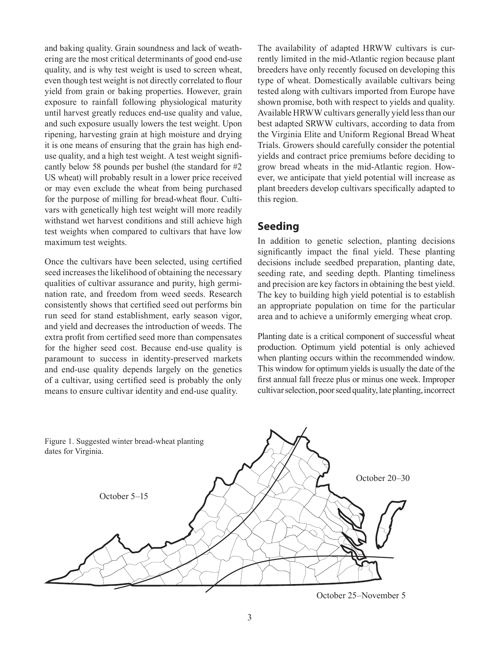and baking quality. Grain soundness and lack of weathering are the most critical determinants of good end-use quality, and is why test weight is used to screen wheat, even though test weight is not directly correlated to flour yield from grain or baking properties. However, grain exposure to rainfall following physiological maturity until harvest greatly reduces end-use quality and value, and such exposure usually lowers the test weight. Upon ripening, harvesting grain at high moisture and drying it is one means of ensuring that the grain has high enduse quality, and a high test weight. A test weight significantly below 58 pounds per bushel (the standard for #2 US wheat) will probably result in a lower price received or may even exclude the wheat from being purchased for the purpose of milling for bread-wheat flour. Cultivars with genetically high test weight will more readily withstand wet harvest conditions and still achieve high test weights when compared to cultivars that have low maximum test weights.

Once the cultivars have been selected, using certified seed increases the likelihood of obtaining the necessary qualities of cultivar assurance and purity, high germination rate, and freedom from weed seeds. Research consistently shows that certified seed out performs bin run seed for stand establishment, early season vigor, and yield and decreases the introduction of weeds. The extra profit from certified seed more than compensates for the higher seed cost. Because end-use quality is paramount to success in identity-preserved markets and end-use quality depends largely on the genetics of a cultivar, using certified seed is probably the only means to ensure cultivar identity and end-use quality.

The availability of adapted HRWW cultivars is currently limited in the mid-Atlantic region because plant breeders have only recently focused on developing this type of wheat. Domestically available cultivars being tested along with cultivars imported from Europe have shown promise, both with respect to yields and quality. Available HRWW cultivars generally yield less than our best adapted SRWW cultivars, according to data from the Virginia Elite and Uniform Regional Bread Wheat Trials. Growers should carefully consider the potential yields and contract price premiums before deciding to grow bread wheats in the mid-Atlantic region. However, we anticipate that yield potential will increase as plant breeders develop cultivars specifically adapted to this region.

#### **Seeding**

In addition to genetic selection, planting decisions significantly impact the final yield. These planting decisions include seedbed preparation, planting date, seeding rate, and seeding depth. Planting timeliness and precision are key factors in obtaining the best yield. The key to building high yield potential is to establish an appropriate population on time for the particular area and to achieve a uniformly emerging wheat crop.

Planting date is a critical component of successful wheat production. Optimum yield potential is only achieved when planting occurs within the recommended window. This window for optimum yields is usually the date of the first annual fall freeze plus or minus one week. Improper cultivar selection, poor seed quality, late planting, incorrect



October 25–November 5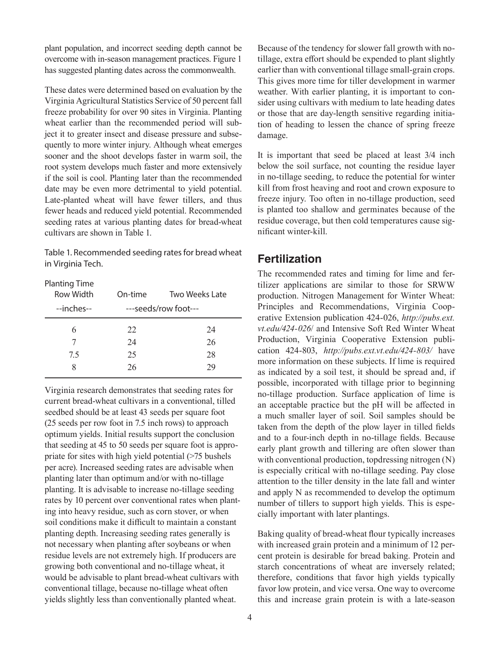plant population, and incorrect seeding depth cannot be overcome with in-season management practices. Figure 1 has suggested planting dates across the commonwealth.

These dates were determined based on evaluation by the Virginia Agricultural Statistics Service of 50 percent fall freeze probability for over 90 sites in Virginia. Planting wheat earlier than the recommended period will subject it to greater insect and disease pressure and subsequently to more winter injury. Although wheat emerges sooner and the shoot develops faster in warm soil, the root system develops much faster and more extensively if the soil is cool. Planting later than the recommended date may be even more detrimental to yield potential. Late-planted wheat will have fewer tillers, and thus fewer heads and reduced yield potential. Recommended seeding rates at various planting dates for bread-wheat cultivars are shown in Table 1.

Table 1. Recommended seeding rates for bread wheat in Virginia Tech.

Planting Time

| Row Width<br>--inches-- | On-time        | Two Weeks Late<br>---seeds/row foot--- |
|-------------------------|----------------|----------------------------------------|
| 6<br>7.5                | 22<br>24<br>25 | 24<br>26<br>28                         |
| 8                       | 26             | 29                                     |

Virginia research demonstrates that seeding rates for current bread-wheat cultivars in a conventional, tilled seedbed should be at least 43 seeds per square foot (25 seeds per row foot in 7.5 inch rows) to approach optimum yields. Initial results support the conclusion that seeding at 45 to 50 seeds per square foot is appropriate for sites with high yield potential (>75 bushels per acre). Increased seeding rates are advisable when planting later than optimum and/or with no-tillage planting. It is advisable to increase no-tillage seeding rates by 10 percent over conventional rates when planting into heavy residue, such as corn stover, or when soil conditions make it difficult to maintain a constant planting depth. Increasing seeding rates generally is not necessary when planting after soybeans or when residue levels are not extremely high. If producers are growing both conventional and no-tillage wheat, it would be advisable to plant bread-wheat cultivars with conventional tillage, because no-tillage wheat often yields slightly less than conventionally planted wheat.

4

Because of the tendency for slower fall growth with notillage, extra effort should be expended to plant slightly earlier than with conventional tillage small-grain crops. This gives more time for tiller development in warmer weather. With earlier planting, it is important to consider using cultivars with medium to late heading dates or those that are day-length sensitive regarding initiation of heading to lessen the chance of spring freeze damage.

It is important that seed be placed at least 3/4 inch below the soil surface, not counting the residue layer in no-tillage seeding, to reduce the potential for winter kill from frost heaving and root and crown exposure to freeze injury. Too often in no-tillage production, seed is planted too shallow and germinates because of the residue coverage, but then cold temperatures cause significant winter-kill.

### **Fertilization**

The recommended rates and timing for lime and fertilizer applications are similar to those for SRWW production. Nitrogen Management for Winter Wheat: Principles and Recommendations, Virginia Cooperative Extension publication 424-026, *http://pubs.ext. vt.edu/424-026*/ and Intensive Soft Red Winter Wheat Production, Virginia Cooperative Extension publication 424-803, *http://pubs.ext.vt.edu/424-803/* have more information on these subjects. If lime is required as indicated by a soil test, it should be spread and, if possible, incorporated with tillage prior to beginning no-tillage production. Surface application of lime is an acceptable practice but the pH will be affected in a much smaller layer of soil. Soil samples should be taken from the depth of the plow layer in tilled fields and to a four-inch depth in no-tillage fields. Because early plant growth and tillering are often slower than with conventional production, topdressing nitrogen (N) is especially critical with no-tillage seeding. Pay close attention to the tiller density in the late fall and winter and apply N as recommended to develop the optimum number of tillers to support high yields. This is especially important with later plantings.

Baking quality of bread-wheat flour typically increases with increased grain protein and a minimum of 12 percent protein is desirable for bread baking. Protein and starch concentrations of wheat are inversely related; therefore, conditions that favor high yields typically favor low protein, and vice versa. One way to overcome this and increase grain protein is with a late-season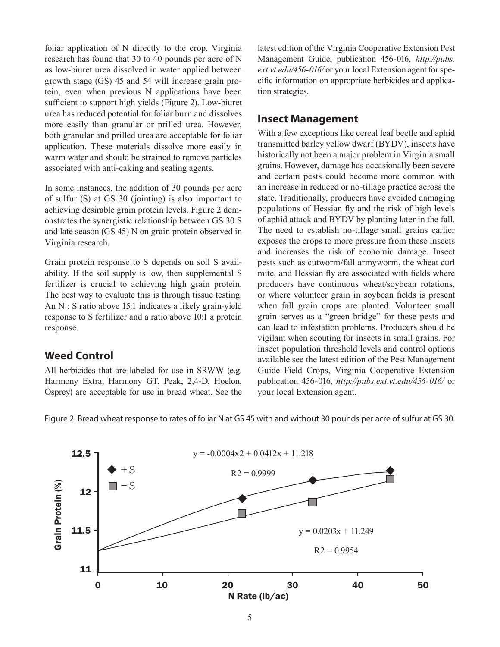foliar application of N directly to the crop. Virginia research has found that 30 to 40 pounds per acre of N as low-biuret urea dissolved in water applied between growth stage (GS) 45 and 54 will increase grain protein, even when previous N applications have been sufficient to support high yields (Figure 2). Low-biuret urea has reduced potential for foliar burn and dissolves more easily than granular or prilled urea. However, both granular and prilled urea are acceptable for foliar application. These materials dissolve more easily in warm water and should be strained to remove particles associated with anti-caking and sealing agents.

In some instances, the addition of 30 pounds per acre of sulfur (S) at GS 30 (jointing) is also important to achieving desirable grain protein levels. Figure 2 demonstrates the synergistic relationship between GS 30 S and late season (GS 45) N on grain protein observed in Virginia research.

Grain protein response to S depends on soil S availability. If the soil supply is low, then supplemental S fertilizer is crucial to achieving high grain protein. The best way to evaluate this is through tissue testing. An N : S ratio above 15:1 indicates a likely grain-yield response to S fertilizer and a ratio above 10:1 a protein response.

#### **Weed Control**

All herbicides that are labeled for use in SRWW (e.g. Harmony Extra, Harmony GT, Peak, 2,4-D, Hoelon, Osprey) are acceptable for use in bread wheat. See the latest edition of the Virginia Cooperative Extension Pest Management Guide, publication 456-016, *http://pubs. ext.vt.edu/456-016/* or your local Extension agent for specific information on appropriate herbicides and application strategies.

#### **Insect Management**

With a few exceptions like cereal leaf beetle and aphid transmitted barley yellow dwarf (BYDV), insects have historically not been a major problem in Virginia small grains. However, damage has occasionally been severe and certain pests could become more common with an increase in reduced or no-tillage practice across the state. Traditionally, producers have avoided damaging populations of Hessian fly and the risk of high levels of aphid attack and BYDV by planting later in the fall. The need to establish no-tillage small grains earlier exposes the crops to more pressure from these insects and increases the risk of economic damage. Insect pests such as cutworm/fall armyworm, the wheat curl mite, and Hessian fly are associated with fields where producers have continuous wheat/soybean rotations, or where volunteer grain in soybean fields is present when fall grain crops are planted. Volunteer small grain serves as a "green bridge" for these pests and can lead to infestation problems. Producers should be vigilant when scouting for insects in small grains. For insect population threshold levels and control options available see the latest edition of the Pest Management Guide Field Crops, Virginia Cooperative Extension publication 456-016, *http://pubs.ext.vt.edu/456-016/* or your local Extension agent.

Figure 2. Bread wheat response to rates of foliar N at GS 45 with and without 30 pounds per acre of sulfur at GS 30.